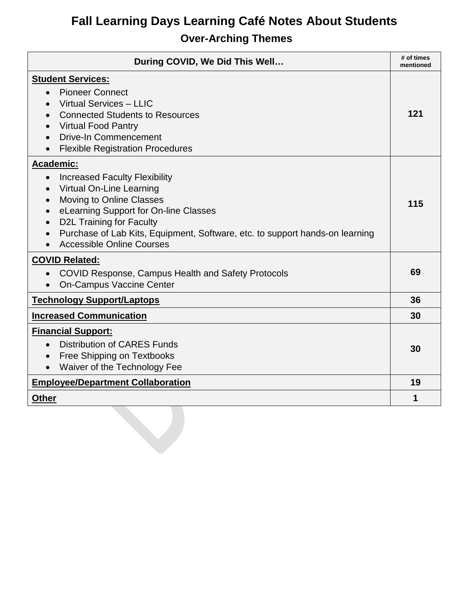## **Fall Learning Days Learning Café Notes About Students Over-Arching Themes**

| During COVID, We Did This Well                                                                                                                                                                                                                                                                                                                                       | # of times<br>mentioned |
|----------------------------------------------------------------------------------------------------------------------------------------------------------------------------------------------------------------------------------------------------------------------------------------------------------------------------------------------------------------------|-------------------------|
| <b>Student Services:</b><br><b>Pioneer Connect</b><br>Virtual Services - LLIC<br><b>Connected Students to Resources</b><br><b>Virtual Food Pantry</b><br><b>Drive-In Commencement</b><br>$\bullet$<br><b>Flexible Registration Procedures</b><br>$\bullet$                                                                                                           | 121                     |
| <b>Academic:</b><br><b>Increased Faculty Flexibility</b><br>$\bullet$<br>Virtual On-Line Learning<br>Moving to Online Classes<br>$\bullet$<br>eLearning Support for On-line Classes<br>$\bullet$<br><b>D2L Training for Faculty</b><br>$\bullet$<br>Purchase of Lab Kits, Equipment, Software, etc. to support hands-on learning<br><b>Accessible Online Courses</b> | 115                     |
| <b>COVID Related:</b><br><b>COVID Response, Campus Health and Safety Protocols</b><br><b>On-Campus Vaccine Center</b>                                                                                                                                                                                                                                                | 69                      |
| <b>Technology Support/Laptops</b>                                                                                                                                                                                                                                                                                                                                    | 36                      |
| <b>Increased Communication</b>                                                                                                                                                                                                                                                                                                                                       | 30                      |
| <b>Financial Support:</b><br>Distribution of CARES Funds<br>$\bullet$<br><b>Free Shipping on Textbooks</b><br>$\bullet$<br>Waiver of the Technology Fee<br>$\bullet$                                                                                                                                                                                                 | 30                      |
| <b>Employee/Department Collaboration</b>                                                                                                                                                                                                                                                                                                                             |                         |
| <b>Other</b>                                                                                                                                                                                                                                                                                                                                                         | 1                       |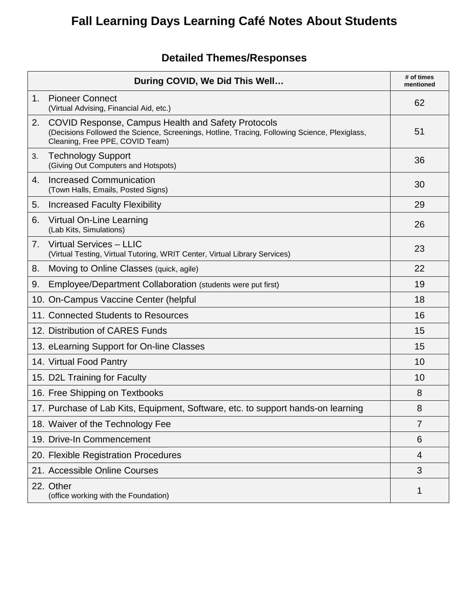# **Fall Learning Days Learning Café Notes About Students**

## **Detailed Themes/Responses**

|                                | During COVID, We Did This Well                                                                                                                                                         | # of times<br>mentioned |
|--------------------------------|----------------------------------------------------------------------------------------------------------------------------------------------------------------------------------------|-------------------------|
| 1.                             | <b>Pioneer Connect</b><br>(Virtual Advising, Financial Aid, etc.)                                                                                                                      | 62                      |
| 2.                             | COVID Response, Campus Health and Safety Protocols<br>(Decisions Followed the Science, Screenings, Hotline, Tracing, Following Science, Plexiglass,<br>Cleaning, Free PPE, COVID Team) | 51                      |
| 3.                             | <b>Technology Support</b><br>(Giving Out Computers and Hotspots)                                                                                                                       | 36                      |
| 4.                             | <b>Increased Communication</b><br>(Town Halls, Emails, Posted Signs)                                                                                                                   | 30                      |
| 5.                             | <b>Increased Faculty Flexibility</b>                                                                                                                                                   | 29                      |
| 6.                             | Virtual On-Line Learning<br>(Lab Kits, Simulations)                                                                                                                                    | 26                      |
| $7_{\scriptscriptstyle{\sim}}$ | Virtual Services - LLIC<br>(Virtual Testing, Virtual Tutoring, WRIT Center, Virtual Library Services)                                                                                  | 23                      |
| 8.                             | Moving to Online Classes (quick, agile)                                                                                                                                                | 22                      |
| 9.                             | Employee/Department Collaboration (students were put first)                                                                                                                            | 19                      |
|                                | 10. On-Campus Vaccine Center (helpful                                                                                                                                                  | 18                      |
|                                | 11. Connected Students to Resources                                                                                                                                                    | 16                      |
|                                | 12. Distribution of CARES Funds                                                                                                                                                        | 15                      |
|                                | 13. eLearning Support for On-line Classes                                                                                                                                              | 15                      |
|                                | 14. Virtual Food Pantry                                                                                                                                                                | 10                      |
|                                | 15. D2L Training for Faculty                                                                                                                                                           | 10                      |
|                                | 16. Free Shipping on Textbooks                                                                                                                                                         | 8                       |
|                                | 17. Purchase of Lab Kits, Equipment, Software, etc. to support hands-on learning                                                                                                       | 8                       |
|                                | 18. Waiver of the Technology Fee                                                                                                                                                       | $\overline{7}$          |
|                                | 19. Drive-In Commencement                                                                                                                                                              | 6                       |
|                                | 20. Flexible Registration Procedures                                                                                                                                                   | 4                       |
|                                | 21. Accessible Online Courses                                                                                                                                                          | 3                       |
|                                | 22. Other<br>(office working with the Foundation)                                                                                                                                      | 1                       |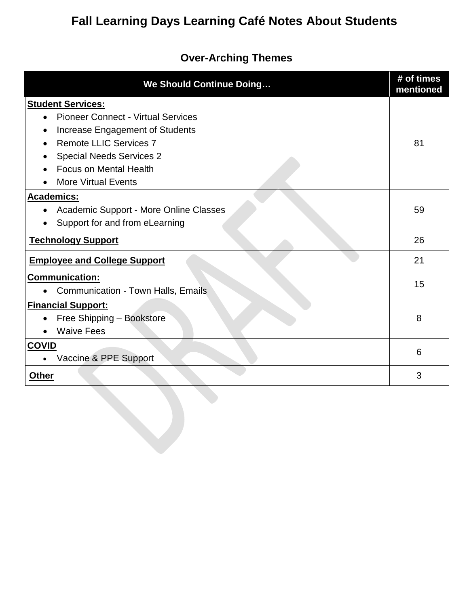## **Fall Learning Days Learning Café Notes About Students**

#### **Over-Arching Themes**

| <b>We Should Continue Doing</b>                                                                                                                                                                                                                          | # of times<br>mentioned |
|----------------------------------------------------------------------------------------------------------------------------------------------------------------------------------------------------------------------------------------------------------|-------------------------|
| <b>Student Services:</b><br><b>Pioneer Connect - Virtual Services</b><br>$\bullet$<br>Increase Engagement of Students<br><b>Remote LLIC Services 7</b><br><b>Special Needs Services 2</b><br><b>Focus on Mental Health</b><br><b>More Virtual Events</b> | 81                      |
| <b>Academics:</b><br>Academic Support - More Online Classes<br>$\bullet$<br>Support for and from eLearning                                                                                                                                               | 59                      |
| <b>Technology Support</b>                                                                                                                                                                                                                                | 26                      |
| <b>Employee and College Support</b>                                                                                                                                                                                                                      | 21                      |
| <b>Communication:</b><br><b>Communication - Town Halls, Emails</b>                                                                                                                                                                                       | 15                      |
| <b>Financial Support:</b><br>Free Shipping - Bookstore<br>$\bullet$<br><b>Waive Fees</b>                                                                                                                                                                 | 8                       |
| <b>COVID</b><br>Vaccine & PPE Support                                                                                                                                                                                                                    | 6                       |
| <b>Other</b>                                                                                                                                                                                                                                             | 3                       |